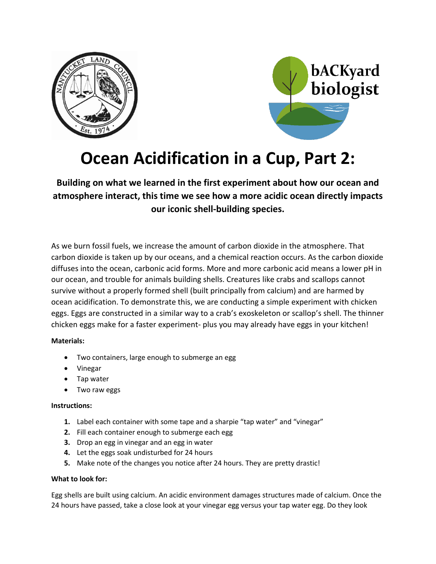



# **Ocean Acidification in a Cup, Part 2:**

**Building on what we learned in the first experiment about how our ocean and atmosphere interact, this time we see how a more acidic ocean directly impacts our iconic shell-building species.**

As we burn fossil fuels, we increase the amount of carbon dioxide in the atmosphere. That carbon dioxide is taken up by our oceans, and a chemical reaction occurs. As the carbon dioxide diffuses into the ocean, carbonic acid forms. More and more carbonic acid means a lower pH in our ocean, and trouble for animals building shells. Creatures like crabs and scallops cannot survive without a properly formed shell (built principally from calcium) and are harmed by ocean acidification. To demonstrate this, we are conducting a simple experiment with chicken eggs. Eggs are constructed in a similar way to a crab's exoskeleton or scallop's shell. The thinner chicken eggs make for a faster experiment- plus you may already have eggs in your kitchen!

## **Materials:**

- Two containers, large enough to submerge an egg
- Vinegar
- Tap water
- Two raw eggs

## **Instructions:**

- **1.** Label each container with some tape and a sharpie "tap water" and "vinegar"
- **2.** Fill each container enough to submerge each egg
- **3.** Drop an egg in vinegar and an egg in water
- **4.** Let the eggs soak undisturbed for 24 hours
- **5.** Make note of the changes you notice after 24 hours. They are pretty drastic!

#### **What to look for:**

Egg shells are built using calcium. An acidic environment damages structures made of calcium. Once the 24 hours have passed, take a close look at your vinegar egg versus your tap water egg. Do they look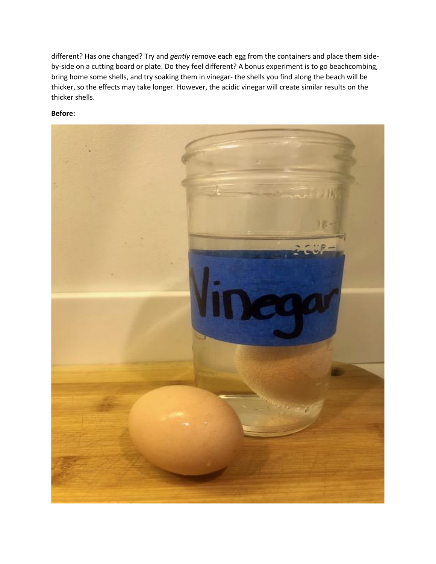different? Has one changed? Try and *gently* remove each egg from the containers and place them sideby-side on a cutting board or plate. Do they feel different? A bonus experiment is to go beachcombing, bring home some shells, and try soaking them in vinegar- the shells you find along the beach will be thicker, so the effects may take longer. However, the acidic vinegar will create similar results on the thicker shells.

#### **Before:**